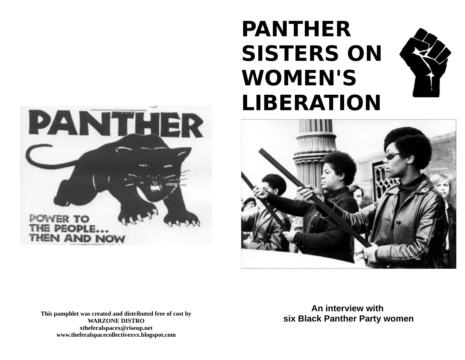# **PANTHER SISTERS ON WOMEN'S LIBERATION**







**This pamphlet was created and distributed free of cost by WARZONE DISTRO xtheferalspacex@riseup.net www.theferalspacecollectivexvx.blogspot.com**

**An interview with six Black Panther Party women**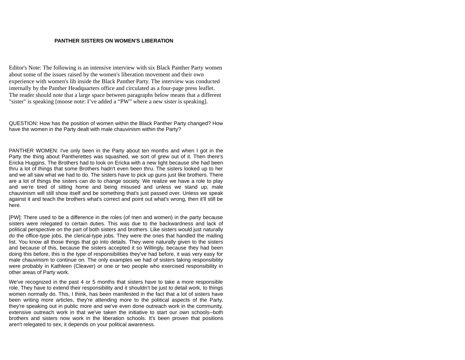#### **PANTHER SISTERS ON WOMEN'S LIBERATION**

Editor's Note: The following is an intensive interview with six Black Panther Party women about some of the issues raised by the women's liberation movement and their own experience with women's lib inside the Black Panther Party. The interview was conducted internally by the Panther Headquarters office and circulated as a four-page press leaflet. The reader should note that a large space between paragraphs below means that a different "sister" is speaking [moose note: I've added a "PW" where a new sister is speaking].

QUESTION: How has the position of women within the Black Panther Party changed? How have the women in the Party dealt with male chauvinism within the Party?

PANTHER WOMEN: I've only been in the Party about ten months and when I got in the Party the thing about Pantherettes was squashed, we sort of grew out of it. Then there's Ericka Huggins. The Brothers had to look on Ericka with a new light because she had been thru a lot of things that some Brothers hadn't even been thru. The sisters looked up to her and we all saw what we had to do. The sisters have to pick up guns just like brothers. There are a lot of things the sisters can do to change society. We realize we have a role to play and we're tired of sitting home and being misused and unless we stand up, male chauvinism will still show itself and be something that's just passed over. Unless we speak against it and teach the brothers what's correct and point out what's wrong, then it'll still be here.

[PW]: There used to be a difference in the roles (of men and women) in the party because sisters were relegated to certain duties. This was due to the backwardness and lack of political perspective on the part of both sisters and brothers. Like sisters would just naturally do the office-type jobs, the clerical-type jobs. They were the ones that handled the mailing list. You know all those things that go into details. They were naturally given to the sisters and because of this, because the sisters accepted it so Willingly, because they had been doing this before, this is the type of responsibilities they've had before, it was very easy for male chauvinism to continue on. The only examples we had of sisters taking responsibility were probably in Kathleen (Cleaver) or one or two people who exercised responsibility in other areas of Party work.

We've recognized in the past 4 or 5 months that sisters have to take a more responsible role. They have to extend their responsibility and it shouldn't be just to detail work, to things women normally do. This, I think, has been manifested in the fact that a lot of sisters have been writing more articles, they're attending more to the political aspects of the Party, they're speaking out in public more and we've even done outreach work in the community, extensive outreach work in that we've taken the initiative to start our own schools--both brothers and sisters now work in the liberation schools. It's been proven that positions aren't relegated to sex, it depends on your political awareness.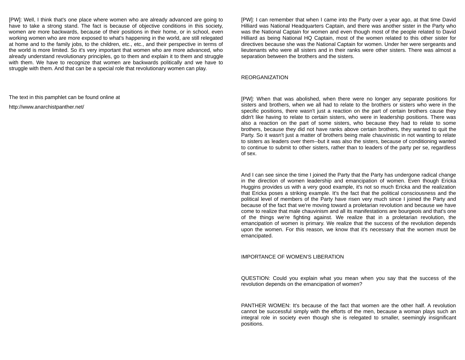[PW]: Well, I think that's one place where women who are already advanced are going to have to take a strong stand. The fact is because of objective conditions in this society, women are more backwards, because of their positions in their home, or in school, even working women who are more exposed to what's happening in the world, are still relegated at home and to the family jobs, to the children, etc., etc., and their perspective in terms of the world is more limited. So it's very important that women who are more advanced, who already understand revolutionary principles, go to them and explain it to them and struggle with them. We have to recognize that women are backwards politically and we have to struggle with them. And that can be a special role that revolutionary women can play.

The text in this pamphlet can be found online at

http://www.anarchistpanther.net/

[PW]: I can remember that when I came into the Party over a year ago, at that time David Hilliard was National Headquarters Captain, and there was another sister in the Party who was the National Captain for women and even though most of the people related to David Hilliard as being National HQ Captain, most of the women related to this other sister for directives because she was the National Captain for women. Under her were sergeants and lieutenants who were all sisters and in their ranks were other sisters. There was almost a separation between the brothers and the sisters.

## REORGANIZATION

[PW]: When that was abolished, when there were no longer any separate positions for sisters and brothers, when we all had to relate to the brothers or sisters who were in the specific positions, there wasn't just a reaction on the part of certain brothers cause they didn't like having to relate to certain sisters, who were in leadership positions. There was also a reaction on the part of some sisters, who because they had to relate to some brothers, because they did not have ranks above certain brothers, they wanted to quit the Party. So it wasn't just a matter of brothers being male chauvinistic in not wanting to relate to sisters as leaders over them--but it was also the sisters, because of conditioning wanted to continue to submit to other sisters, rather than to leaders of the party per se, regardless of sex.

And I can see since the time I joined the Party that the Party has undergone radical change in the direction of women leadership and emancipation of women. Even though Ericka Huggins provides us with a very good example, it's not so much Ericka and the realization that Ericka poses a striking example. It's the fact that the political consciousness and the political level of members of the Party have risen very much since I joined the Party and because of the fact that we're moving toward a proletarian revolution and because we have come to realize that male chauvinism and all its manifestations are bourgeois and that's one of the things we're fighting against. We realize that in a proletarian revolution, the emancipation of women is primary. We realize that the success of the revolution depends upon the women. For this reason, we know that it's necessary that the women must be emancipated.

## IMPORTANCE OF WOMEN'S LIBERATION

QUESTION: Could you explain what you mean when you say that the success of the revolution depends on the emancipation of women?

PANTHER WOMEN: It's because of the fact that women are the other half. A revolution cannot be successful simply with the efforts of the men, because a woman plays such an integral role in society even though she is relegated to smaller, seemingly insignificant positions.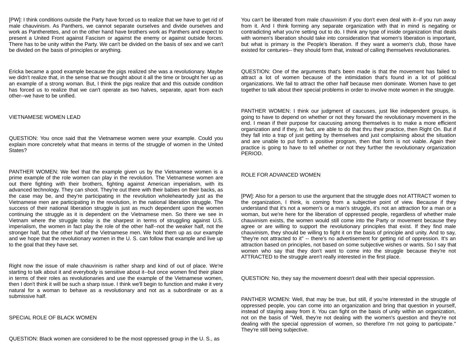[PW]: I think conditions outside the Party have forced us to realize that we have to get rid of male chauvinism. As Panthers, we cannot separate ourselves and divide ourselves and work as Pantherettes, and on the other hand have brothers work as Panthers and expect to present a United Front against Fascism or against the enemy or against outside forces. There has to be unity within the Party. We can't be divided on the basis of sex and we can't be divided on the basis of principles or anything.

Ericka became a good example because the pigs realized she was a revolutionary. Maybe we didn't realize that, in the sense that we thought about it all the time or brought her up as an example of a strong woman. But, I think the pigs realize that and this outside condition has forced us to realize that we can't operate as two halves, separate, apart from each other--we have to be unified.

#### VIETNAMESE WOMEN LEAD

QUESTION: You once said that the Vietnamese women were your example. Could you explain more concretely what that means in terms of the struggle of women in the United States?

PANTHER WOMEN: We feel that the example given us by the Vietnamese women is a prime example of the role women can play in the revolution. The Vietnamese women are out there fighting with their brothers, fighting against American imperialism, with its advanced technology. They can shoot. They're out there with their babies on their backs, as the case may be, and they're participating in the revolution wholeheartedly just as the Vietnamese men are participating in the revolution, in the national liberation struggle. The success of their national liberation struggle is just as much dependent upon the women continuing the struggle as it is dependent on the Vietnamese men. So there we see in Vietnam where the struggle today is the sharpest in terms of struggling against U.S. imperialism, the women in fact play the role of the other half--not the weaker half, not the stronger half, but the other half of the Vietnamese men. We hold them up as our example and we hope that the revolutionary women in the U. S. can follow that example and live up to the goal that they have set.

Right now the issue of male chauvinism is rather sharp and kind of out of place. We're starting to talk about it and everybody is sensitive about it--but once women find their place in terms of their roles as revolutionaries and use the example of the Vietnamese women, then I don't think it will be such a sharp issue. I think we'll begin to function and make it very natural for a woman to behave as a revolutionary and not as a subordinate or as a submissive half.

### SPECIAL ROLE OF BLACK WOMEN

You can't be liberated from male chauvinism if you don't even deal with it--if you run away from it. And I think forming any separate organization with that in mind is negating or contradicting what you're setting out to do. I think any type of inside organization that deals with women's liberation should take into consideration that women's liberation is important, but what is primary is the People's liberation. If they want a women's club, those have existed for centuries-- they should form that, instead of calling themselves revolutionaries.

QUESTION: One of the arguments that's been made is that the movement has failed to attract a lot of women because of the intimidation that's found in a lot of political organizations. We fail to attract the other half because men dominate. Women have to get together to talk about their special problems in order to involve mote women in the struggle.

PANTHER WOMEN: I think our judgment of caucuses, just like independent groups, is going to have to depend on whether or not they forward the revolutionary movement in the end. I mean if their purpose for caucusing among themselves is to make a more efficient organization and if they, in fact, are able to do that thru their practice, then Right On. But if they fall into a trap of just getting by themselves and just complaining about the situation and are unable to put forth a positive program, then that form is not viable. Again their practice is going to have to tell whether or not they further the revolutionary organization PERIOD.

# ROLE FOR ADVANCED WOMEN

[PW]: Also for a person to use the argument that the struggle does not ATTRACT women to the organization, I think, is coming from a subjective point of view. Because if they understand that it's not a women's or a man's struggle, it's not an attraction for a man or a woman, but we're here for the liberation of oppressed people, regardless of whether male chauvinism exists, the women would still come into the Party or movement because they agree or are willing to support the revolutionary principles that exist. If they find male chauvinism, they should be willing to fight it on the basis of principle and unity. And to say, "they're not attracted to it" -- there's no advertisement for getting rid of oppression. It's an attraction based on principles, not based on some subjective wishes or wants. So I say that women who say that they don't want to come into the struggle because they're not ATTRACTED to the struggle aren't really interested in the first place.

QUESTION: No, they say the movement doesn't deal with their special oppression.

PANTHER WOMEN: Well, that may be true, but still, if you're interested in the struggle of oppressed people, you can come into an organization and bring that question in yourself, instead of staying away from it. You can fight on the basis of unity within an organization, not on the basis of "Well, they're not dealing with the women's question and they're not dealing with the special oppression of women, so therefore I'm not going to participate." They're still being subjective.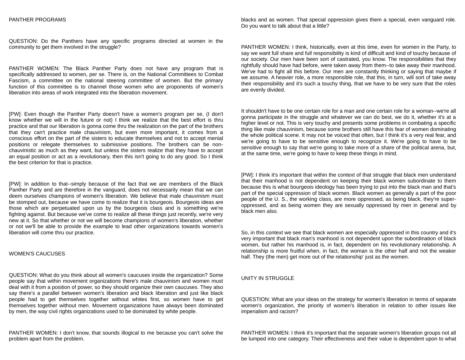#### PANTHER PROGRAMS

QUESTION: Do the Panthers have any specific programs directed at women in the community to get them involved in the struggle?

PANTHER WOMEN: The Black Panther Party does not have any program that is specifically addressed to women, per se. There is, on the National Committees to Combat Fascism, a committee on the national steering committee of women. But the primary function of this committee is to channel those women who are proponents of women's liberation into areas of work integrated into the liberation movement.

[PW]: Even though the Panther Party doesn't have a women's program per se, (I don't know whether we will in the future or not) I think we realize that the best effort is thru practice and that our liberation is gonna come thru the realization on the part of the brothers that they can't practice male chauvinism, but even more important, it comes from a conscious effort on the part of the sisters to educate themselves and not to accept menial positions or relegate themselves to submissive positions. The brothers can be nonchauvinistic as much as they want, but unless the sisters realize that they have to accept an equal position or act as a revolutionary, then this isn't going to do any good. So I think the best criterion for that is practice.

[PW]: In addition to that--simply because of the fact that we are members of the Black Panther Party and are therefore in the vanguard, does not necessarily mean that we can deem ourselves champions of women's liberation. We believe that male chauvinism must be stomped out, because we have come to realize that it is bourgeois. Bourgeois ideas are those which are perpetuated upon us by the bourgeois class and is something we're fighting against. But because we've come to realize all these things just recently, we're very new at it. So that whether or not we will become champions of women's liberation, whether or not we'll be able to provide the example to lead other organizations towards women's liberation will come thru our practice.

# WOMEN'S CAUCUSES

QUESTION: What do you think about all women's caucuses inside the organization? Some people say that within movement organizations there's male chauvinism and women must deal with it from a position of power, so they should organize their own caucuses. They also say there's a parallel between women's liberation and black liberation and just like black people had to get themselves together without whites first, so women have to get themselves together without men. Movement organizations have always been dominated by men, the way civil rights organizations used to be dominated by white people.

PANTHER WOMEN: I don't know, that sounds illogical to me because you can't solve the problem apart from the problem.

blacks and as women. That special oppression gives them a special, even vanguard role. Do you want to talk about that a little?

PANTHER WOMEN: I think, historically, even at this time, even for women in the Party, to say we want full share and full responsibility is kind of difficult and kind of touchy because of our society. Our men have been sort of castrated, you know. The responsibilities that they rightfully should have had before, were taken away from them--to take away their manhood. We've had to fight all this before. Our men are constantly thinking or saying that maybe if we assume. A heavier role, a more responsible role, that this, in turn, will sort of take away their responsibility and it's such a touchy thing, that we have to be very sure that the roles are evenly divided.

It shouldn't have to be one certain role for a man and one certain role for a woman--we're all gonna participate in the struggle and whatever we can do best, we do it, whether it's at a higher level or not. This is very touchy and presents some problems in combating a specific thing like male chauvinism, because some brothers still have this fear of women dominating the whole political scene. It may not be voiced that often, but I think it's a very real fear, and we're going to have to be sensitive enough to recognize it. We're going to have to be sensitive enough to say that we're going to take more of a share of the political arena, but, at the same time, we're going to have to keep these things in mind.

[PW]: I think it's important that within the context of that struggle that black men understand that their manhood is not dependent on keeping their black women subordinate to them because this is what bourgeois ideology has been trying to put into the black man and that's part of the special oppression of black women. Black women as generally a part of the poor people of the U. S., the working class, are more oppressed, as being black, they're superoppressed, and as being women they are sexually oppressed by men in general and by black men also.

So, in this context we see that black women are especially oppressed in this country and it's very important that black man's manhood is not dependent upon the subordination of black women, but rather his manhood is, in fact, dependent on his revolutionary relationship. A relationship is more fruitful when, in fact, the woman is the other half and not the weaker half. They (the men) get more out of the relationship' just as the women.

# UNITY IN STRUGGLE

QUESTION: What are your ideas on the strategy for women's liberation in terms of separate women's organization, the priority of women's liberation in relation to other issues like imperialism and racism?

PANTHER WOMEN: I think it's important that the separate women's liberation groups not all be lumped into one category. Their effectiveness and their value is dependent upon to what